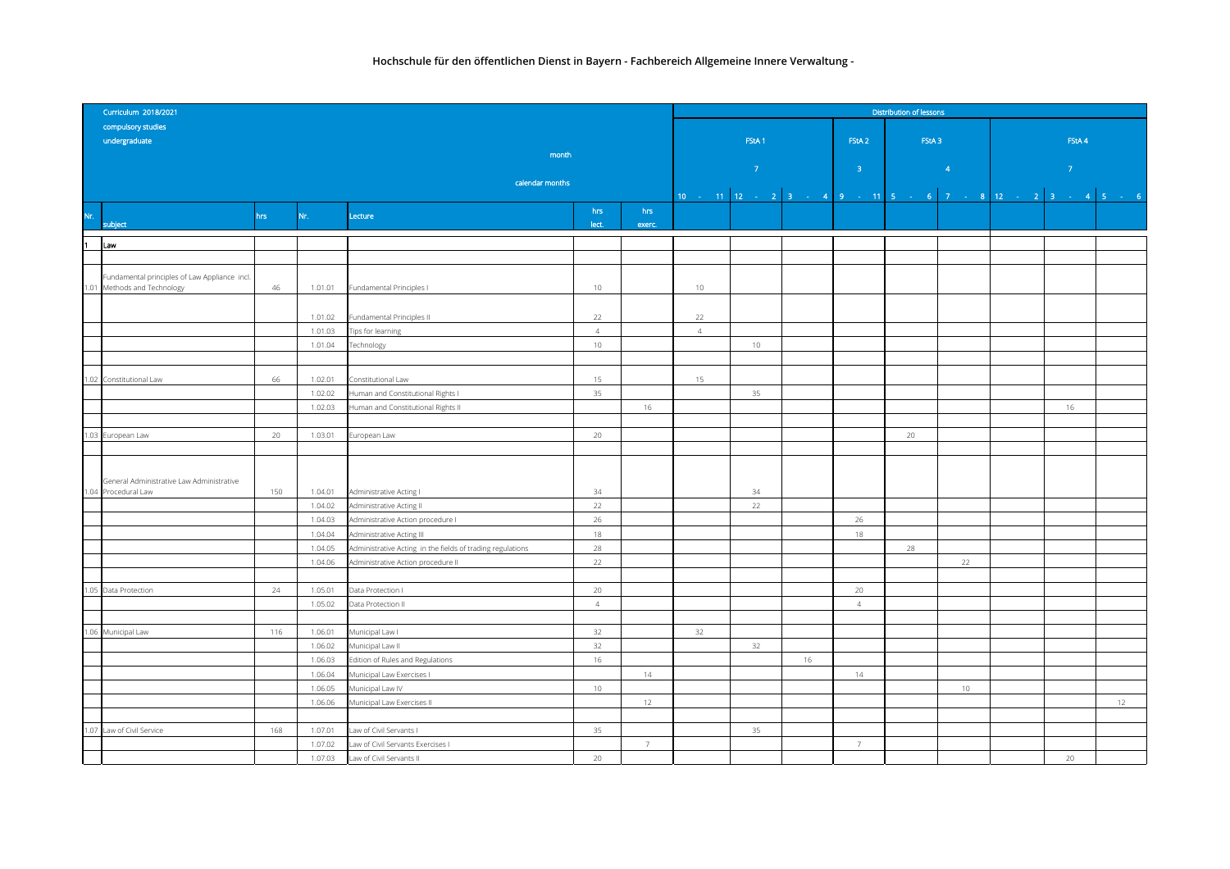|      | Curriculum 2018/2021                          |                 | <b>Distribution of lessons</b> |                                                               |                |                 |                |                   |    |                   |                                                            |                                                                                                                                       |    |  |  |
|------|-----------------------------------------------|-----------------|--------------------------------|---------------------------------------------------------------|----------------|-----------------|----------------|-------------------|----|-------------------|------------------------------------------------------------|---------------------------------------------------------------------------------------------------------------------------------------|----|--|--|
|      | compulsory studies                            |                 |                                |                                                               |                |                 |                |                   |    |                   |                                                            |                                                                                                                                       |    |  |  |
|      | undergraduate                                 |                 |                                |                                                               |                |                 |                | FStA <sub>1</sub> |    | FStA <sub>2</sub> | FStA <sub>3</sub>                                          | FStA 4                                                                                                                                |    |  |  |
|      |                                               |                 |                                | month                                                         |                |                 |                |                   |    |                   |                                                            |                                                                                                                                       |    |  |  |
|      |                                               |                 |                                |                                                               |                |                 |                | $\sim$ 7 $^{-1}$  |    | $-3 -$            | $\sim 10^{11}$ As<br>$\mathcal{L}(\mathcal{L})$            | and the state of the state of the state of the state of the state of the state of the state of the state of th<br>$\langle 7 \rangle$ |    |  |  |
|      |                                               | calendar months |                                |                                                               |                |                 |                |                   |    |                   |                                                            |                                                                                                                                       |    |  |  |
|      |                                               |                 |                                |                                                               |                |                 |                |                   |    |                   | 10 - 11 12 - 2 3 - 4 9 - 11 5 - 6 7 - 8 12 - 2 3 - 4 5 - 6 |                                                                                                                                       |    |  |  |
| Nr.  |                                               | hrs             | Nr.                            | Lecture                                                       | hrs            | hrs             |                |                   |    |                   |                                                            |                                                                                                                                       |    |  |  |
|      | subject                                       |                 |                                |                                                               | lect.          | exerc.          |                |                   |    |                   |                                                            |                                                                                                                                       |    |  |  |
| 1    | Law                                           |                 |                                |                                                               |                |                 |                |                   |    |                   |                                                            |                                                                                                                                       |    |  |  |
|      |                                               |                 |                                |                                                               |                |                 |                |                   |    |                   |                                                            |                                                                                                                                       |    |  |  |
|      | Fundamental principles of Law Appliance incl. |                 |                                |                                                               |                |                 |                |                   |    |                   |                                                            |                                                                                                                                       |    |  |  |
|      | 1.01 Methods and Technology                   | 46              | 1.01.01                        | Fundamental Principles I                                      | 10             |                 | 10             |                   |    |                   |                                                            |                                                                                                                                       |    |  |  |
|      |                                               |                 |                                |                                                               |                |                 |                |                   |    |                   |                                                            |                                                                                                                                       |    |  |  |
|      |                                               |                 | 1.01.02                        | Fundamental Principles II                                     | 22             |                 | 22             |                   |    |                   |                                                            |                                                                                                                                       |    |  |  |
|      |                                               |                 | 1.01.03                        | Tips for learning                                             | $\overline{4}$ |                 | $\overline{4}$ |                   |    |                   |                                                            |                                                                                                                                       |    |  |  |
|      |                                               |                 | 1.01.04                        | Technology                                                    | 10             |                 |                | $10 -$            |    |                   |                                                            |                                                                                                                                       |    |  |  |
|      |                                               |                 |                                |                                                               |                |                 |                |                   |    |                   |                                                            |                                                                                                                                       |    |  |  |
|      | 1.02 Constitutional Law                       | 66              | 1.02.01                        | Constitutional Law                                            | 15             |                 | 15             |                   |    |                   |                                                            |                                                                                                                                       |    |  |  |
|      |                                               |                 | 1.02.02                        | Human and Constitutional Rights I                             | 35             |                 |                | 35                |    |                   |                                                            |                                                                                                                                       |    |  |  |
|      |                                               |                 | 1.02.03                        | Human and Constitutional Rights II                            |                | 16              |                |                   |    |                   |                                                            | 16                                                                                                                                    |    |  |  |
|      |                                               |                 |                                |                                                               |                |                 |                |                   |    |                   |                                                            |                                                                                                                                       |    |  |  |
|      | 1.03 European Law                             | 20              | 1.03.01                        | European Law                                                  | 20             |                 |                |                   |    |                   | $20 -$                                                     |                                                                                                                                       |    |  |  |
|      |                                               |                 |                                |                                                               |                |                 |                |                   |    |                   |                                                            |                                                                                                                                       |    |  |  |
|      |                                               |                 |                                |                                                               |                |                 |                |                   |    |                   |                                                            |                                                                                                                                       |    |  |  |
|      | General Administrative Law Administrative     |                 |                                |                                                               |                |                 |                |                   |    |                   |                                                            |                                                                                                                                       |    |  |  |
|      | 1.04 Procedural Law                           | 150             | 1.04.01                        | Administrative Acting I                                       | 34             |                 |                | 34                |    |                   |                                                            |                                                                                                                                       |    |  |  |
|      |                                               |                 | 1.04.02                        | Administrative Acting II                                      | 22             |                 |                | 22                |    |                   |                                                            |                                                                                                                                       |    |  |  |
|      |                                               |                 | 1.04.03                        | Administrative Action procedure I                             | 26             |                 |                |                   |    | 26                |                                                            |                                                                                                                                       |    |  |  |
|      |                                               |                 | 1.04.04                        | Administrative Acting III                                     | 18             |                 |                |                   |    | 18                |                                                            |                                                                                                                                       |    |  |  |
|      |                                               |                 | 1.04.05                        | Administrative Acting in the fields of trading regulations    | 28             |                 |                |                   |    |                   | 28                                                         |                                                                                                                                       |    |  |  |
|      |                                               |                 | 1.04.06                        | Administrative Action procedure II                            | 22             |                 |                |                   |    |                   | 22                                                         |                                                                                                                                       |    |  |  |
|      |                                               |                 |                                |                                                               |                |                 |                |                   |    |                   |                                                            |                                                                                                                                       |    |  |  |
|      | 1.05 Data Protection                          | 24              | 1.05.01                        | Data Protection I                                             | 20             |                 |                |                   |    | 20                |                                                            |                                                                                                                                       |    |  |  |
|      |                                               |                 | 1.05.02                        | Data Protection II                                            | $\overline{4}$ |                 |                |                   |    | $\overline{4}$    |                                                            |                                                                                                                                       |    |  |  |
|      |                                               |                 |                                |                                                               |                |                 |                |                   |    |                   |                                                            |                                                                                                                                       |    |  |  |
|      | 1.06 Municipal Law                            | 116             | 1.06.01                        | Municipal Law I                                               | 32<br>32       |                 | 32             | 32                |    |                   |                                                            |                                                                                                                                       |    |  |  |
|      |                                               |                 | 1.06.02<br>1.06.03             | Municipal Law II                                              | 16             |                 |                |                   | 16 |                   |                                                            |                                                                                                                                       |    |  |  |
|      |                                               |                 | 1.06.04                        | Edition of Rules and Regulations<br>Municipal Law Exercises I |                | 14              |                |                   |    | 14                |                                                            |                                                                                                                                       |    |  |  |
|      |                                               |                 | 1.06.05                        | Municipal Law IV                                              | 10             |                 |                |                   |    |                   | 10                                                         |                                                                                                                                       |    |  |  |
|      |                                               |                 | 1.06.06                        | Municipal Law Exercises II                                    |                | 12              |                |                   |    |                   |                                                            |                                                                                                                                       | 12 |  |  |
|      |                                               |                 |                                |                                                               |                |                 |                |                   |    |                   |                                                            |                                                                                                                                       |    |  |  |
| 1.07 | Law of Civil Service                          | 168             | 1.07.01                        | Law of Civil Servants I                                       | 35             |                 |                | 35                |    |                   |                                                            |                                                                                                                                       |    |  |  |
|      |                                               |                 | 1.07.02                        | Law of Civil Servants Exercises I                             |                | $7\overline{ }$ |                |                   |    | $\overline{7}$    |                                                            |                                                                                                                                       |    |  |  |
|      |                                               |                 | 1.07.03                        | Law of Civil Servants II                                      | 20             |                 |                |                   |    |                   |                                                            | 20                                                                                                                                    |    |  |  |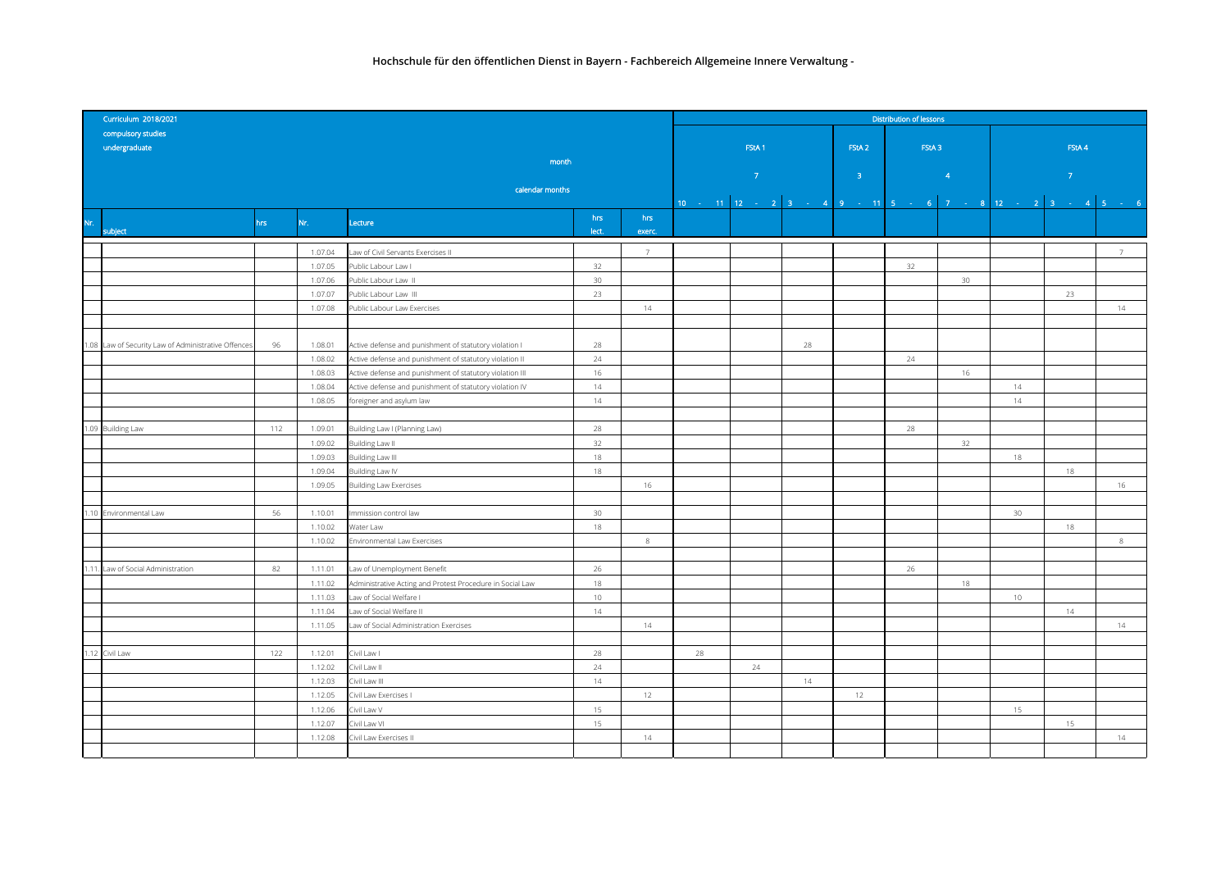|       | Curriculum 2018/2021                           | <b>Distribution of lessons</b> |                    |                                                           |                 |        |    |                                                                            |                   |                   |                 |                 |    |               |  |  |  |
|-------|------------------------------------------------|--------------------------------|--------------------|-----------------------------------------------------------|-----------------|--------|----|----------------------------------------------------------------------------|-------------------|-------------------|-----------------|-----------------|----|---------------|--|--|--|
|       | compulsory studies                             |                                |                    |                                                           |                 |        |    |                                                                            |                   |                   |                 |                 |    |               |  |  |  |
|       | undergraduate                                  |                                |                    |                                                           |                 |        |    | FStA <sub>1</sub>                                                          | FStA <sub>2</sub> | FStA <sub>3</sub> |                 | FStA 4          |    |               |  |  |  |
|       |                                                |                                |                    | month                                                     |                 |        |    |                                                                            |                   |                   |                 |                 |    |               |  |  |  |
|       |                                                |                                |                    |                                                           |                 |        |    | $\langle 7 \rangle$                                                        | 3 <sup>°</sup>    |                   | $\overline{4}$  | $\mathcal{T}$   |    |               |  |  |  |
|       |                                                |                                |                    | calendar months                                           |                 |        |    |                                                                            |                   |                   |                 |                 |    | 7<br>14<br>16 |  |  |  |
|       |                                                |                                |                    |                                                           |                 |        |    | 10 - 11   12 - 2   3 - 4   9 - 11   5 - 6   7 - 8   12 - 2   3 - 4   5 - 6 |                   |                   |                 |                 |    |               |  |  |  |
|       |                                                | hrs.                           | Nr.                | Lecture                                                   | hrs             | hrs    |    |                                                                            |                   |                   |                 |                 |    |               |  |  |  |
|       | subject                                        |                                |                    |                                                           | lect.           | exerc. |    |                                                                            |                   |                   |                 |                 |    |               |  |  |  |
|       |                                                |                                | 1.07.04            | aw of Civil Servants Exercises II                         |                 | 7      |    |                                                                            |                   |                   |                 |                 |    |               |  |  |  |
|       |                                                |                                | 1.07.05            | Public Labour Law I                                       | 32              |        |    |                                                                            |                   | 32                |                 |                 |    |               |  |  |  |
|       |                                                |                                | 1.07.06            | Public Labour Law II                                      | 30 <sup>°</sup> |        |    |                                                                            |                   |                   | 30 <sup>°</sup> |                 |    |               |  |  |  |
|       |                                                |                                | 1.07.07            | Public Labour Law III                                     | 23              |        |    |                                                                            |                   |                   |                 |                 | 23 |               |  |  |  |
|       |                                                |                                | 1.07.08            | Public Labour Law Exercises                               |                 | 14     |    |                                                                            |                   |                   |                 |                 |    |               |  |  |  |
|       |                                                |                                |                    |                                                           |                 |        |    |                                                                            |                   |                   |                 |                 |    |               |  |  |  |
| 1.08  | Law of Security Law of Administrative Offences | 96                             | 1.08.01            | Active defense and punishment of statutory violation I    | 28              |        |    | 28                                                                         |                   |                   |                 |                 |    |               |  |  |  |
|       |                                                |                                | 1.08.02            | Active defense and punishment of statutory violation II   | 24              |        |    |                                                                            |                   | 24                |                 |                 |    |               |  |  |  |
|       |                                                |                                | 1.08.03            | Active defense and punishment of statutory violation III  | 16              |        |    |                                                                            |                   |                   | 16              |                 |    |               |  |  |  |
|       |                                                |                                | 1.08.04            | Active defense and punishment of statutory violation IV   | 14              |        |    |                                                                            |                   |                   |                 | 14              |    |               |  |  |  |
|       |                                                |                                | 1.08.05            | foreigner and asylum law                                  | 14              |        |    |                                                                            |                   |                   |                 | 14              |    |               |  |  |  |
|       |                                                |                                |                    |                                                           |                 |        |    |                                                                            |                   |                   |                 |                 |    |               |  |  |  |
| 1.09  | <b>Building Law</b>                            | 112                            | 1.09.01            | Building Law I (Planning Law)                             | 28              |        |    |                                                                            |                   | 28                |                 |                 |    |               |  |  |  |
|       |                                                |                                | 1.09.02            | Building Law II                                           | 32              |        |    |                                                                            |                   |                   | 32              |                 |    |               |  |  |  |
|       |                                                |                                | 1.09.03            | <b>Building Law III</b>                                   | 18              |        |    |                                                                            |                   |                   |                 | 18              |    |               |  |  |  |
|       |                                                |                                | 1.09.04            | Building Law IV                                           | 18              |        |    |                                                                            |                   |                   |                 |                 | 18 |               |  |  |  |
|       |                                                |                                | 1.09.05            | <b>Building Law Exercises</b>                             |                 | 16     |    |                                                                            |                   |                   |                 |                 |    |               |  |  |  |
|       |                                                |                                |                    |                                                           |                 |        |    |                                                                            |                   |                   |                 |                 |    |               |  |  |  |
| 1.10  | Environmental Law                              | 56                             | 1.10.01            | Immission control law                                     | 30 <sup>°</sup> |        |    |                                                                            |                   |                   |                 | 30 <sup>°</sup> |    |               |  |  |  |
|       |                                                |                                | 1.10.02            | Water Law                                                 | 18              |        |    |                                                                            |                   |                   |                 |                 | 18 |               |  |  |  |
|       |                                                |                                | 1.10.02            | Environmental Law Exercises                               |                 | $\,$ 8 |    |                                                                            |                   |                   |                 |                 |    | 8             |  |  |  |
|       |                                                |                                |                    |                                                           |                 |        |    |                                                                            |                   |                   |                 |                 |    |               |  |  |  |
| 1.11. | Law of Social Administration                   | 82                             | 1.11.01            | Law of Unemployment Benefit                               | 26              |        |    |                                                                            |                   | 26                |                 |                 |    |               |  |  |  |
|       |                                                |                                | 1.11.02            | Administrative Acting and Protest Procedure in Social Law | 18              |        |    |                                                                            |                   |                   | 18              |                 |    |               |  |  |  |
|       |                                                |                                | 1.11.03            | Law of Social Welfare I                                   | 10              |        |    |                                                                            |                   |                   |                 | 10              |    |               |  |  |  |
|       |                                                |                                | 1.11.04<br>1.11.05 | aw of Social Welfare II                                   | 14              | 14     |    |                                                                            |                   |                   |                 |                 | 14 | 14            |  |  |  |
|       |                                                |                                |                    | Law of Social Administration Exercises                    |                 |        |    |                                                                            |                   |                   |                 |                 |    |               |  |  |  |
| 1.12  | Civil Law                                      | 122                            | 1.12.01            | Civil Law I                                               | 28              |        | 28 |                                                                            |                   |                   |                 |                 |    |               |  |  |  |
|       |                                                |                                | 1.12.02            | Civil Law II                                              | 24              |        |    | 24                                                                         |                   |                   |                 |                 |    |               |  |  |  |
|       |                                                |                                | 1.12.03            | Civil Law III                                             | 14              |        |    | 14                                                                         |                   |                   |                 |                 |    |               |  |  |  |
|       |                                                |                                | 1.12.05            | Civil Law Exercises I                                     |                 | 12     |    |                                                                            | 12                |                   |                 |                 |    |               |  |  |  |
|       |                                                |                                | 1.12.06            | Civil Law V                                               | 15              |        |    |                                                                            |                   |                   |                 | 15              |    |               |  |  |  |
|       |                                                |                                | 1.12.07            | Civil Law VI                                              | 15              |        |    |                                                                            |                   |                   |                 |                 | 15 |               |  |  |  |
|       |                                                |                                | 1.12.08            | Civil Law Exercises II                                    |                 | 14     |    |                                                                            |                   |                   |                 |                 |    | 14            |  |  |  |
|       |                                                |                                |                    |                                                           |                 |        |    |                                                                            |                   |                   |                 |                 |    |               |  |  |  |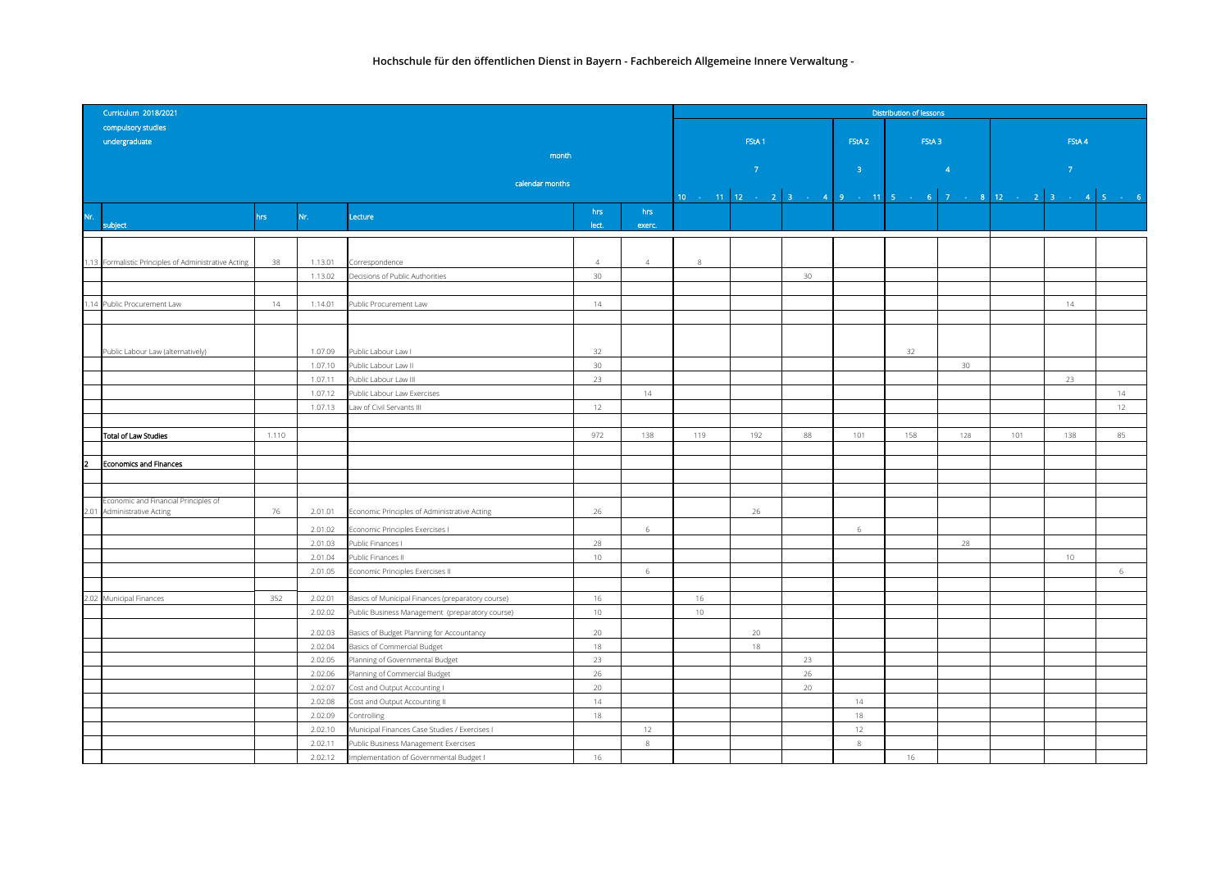|                         | Curriculum 2018/2021                                          |       |                    |                                                                |                 |                |     | <b>Distribution of lessons</b> |    |                   |                 |                                                                                                                                 |                                                                                                                                                                    |    |  |  |  |
|-------------------------|---------------------------------------------------------------|-------|--------------------|----------------------------------------------------------------|-----------------|----------------|-----|--------------------------------|----|-------------------|-----------------|---------------------------------------------------------------------------------------------------------------------------------|--------------------------------------------------------------------------------------------------------------------------------------------------------------------|----|--|--|--|
|                         | compulsory studies                                            |       |                    |                                                                |                 |                |     |                                |    |                   |                 |                                                                                                                                 |                                                                                                                                                                    |    |  |  |  |
|                         | undergraduate                                                 |       |                    |                                                                |                 |                |     | FStA <sub>1</sub>              |    | FStA <sub>2</sub> | FStA3           |                                                                                                                                 | FStA4                                                                                                                                                              |    |  |  |  |
|                         |                                                               |       |                    | month                                                          |                 |                |     |                                |    |                   |                 |                                                                                                                                 |                                                                                                                                                                    |    |  |  |  |
|                         |                                                               |       |                    |                                                                |                 |                |     | $-7$                           |    | $-3 -$            | $\overline{4}$  | and the state of the state of the state of the state of the state of the state of the state of the state of th<br>$\mathcal{T}$ |                                                                                                                                                                    |    |  |  |  |
|                         | calendar months                                               |       |                    |                                                                |                 |                |     |                                |    |                   |                 |                                                                                                                                 |                                                                                                                                                                    |    |  |  |  |
|                         |                                                               |       |                    |                                                                |                 |                |     |                                |    |                   |                 |                                                                                                                                 | $\begin{array}{ cccccccccccc }\hline\n10 & - & 11 & 12 & - & 2 & 3 & - & 4 & 9 & - & 11 & 5 & - & 6 & 7 & - & 8 & 12 & - & 2 & 3 & - & 4 & 5 & - & 6\n\end{array}$ |    |  |  |  |
| Nr.                     |                                                               | hrs   | Nr.                | Lecture                                                        | hrs             | hrs            |     |                                |    |                   |                 |                                                                                                                                 |                                                                                                                                                                    |    |  |  |  |
|                         | subject                                                       |       |                    |                                                                | lect.           | exerc.         |     |                                |    |                   |                 |                                                                                                                                 |                                                                                                                                                                    |    |  |  |  |
|                         |                                                               |       |                    |                                                                |                 |                |     |                                |    |                   |                 |                                                                                                                                 |                                                                                                                                                                    |    |  |  |  |
|                         | 1.13 Formalistic Principles of Administrative Acting          | 38    | 1.13.01            | Correspondence                                                 | $\overline{4}$  | $\overline{4}$ | 8   |                                |    |                   |                 |                                                                                                                                 |                                                                                                                                                                    |    |  |  |  |
|                         |                                                               |       | 1.13.02            | Decisions of Public Authorities                                | $30\,$          |                |     |                                | 30 |                   |                 |                                                                                                                                 |                                                                                                                                                                    |    |  |  |  |
|                         |                                                               |       |                    |                                                                |                 |                |     |                                |    |                   |                 |                                                                                                                                 |                                                                                                                                                                    |    |  |  |  |
|                         | 1.14 Public Procurement Law                                   | 14    | 1.14.01            | Public Procurement Law                                         | 14              |                |     |                                |    |                   |                 |                                                                                                                                 | 14                                                                                                                                                                 |    |  |  |  |
|                         |                                                               |       |                    |                                                                |                 |                |     |                                |    |                   |                 |                                                                                                                                 |                                                                                                                                                                    |    |  |  |  |
|                         |                                                               |       |                    |                                                                |                 |                |     |                                |    |                   |                 |                                                                                                                                 |                                                                                                                                                                    |    |  |  |  |
|                         | Public Labour Law (alternatively)                             |       | 1.07.09            | Public Labour Law I                                            | 32              |                |     |                                |    |                   | 32              |                                                                                                                                 |                                                                                                                                                                    |    |  |  |  |
|                         |                                                               |       | 1.07.10            | Public Labour Law II                                           | 30 <sup>°</sup> |                |     |                                |    |                   | 30 <sup>°</sup> |                                                                                                                                 |                                                                                                                                                                    |    |  |  |  |
|                         |                                                               |       | 1.07.11            | Public Labour Law III                                          | 23              |                |     |                                |    |                   |                 |                                                                                                                                 | 23                                                                                                                                                                 |    |  |  |  |
|                         |                                                               |       | 1.07.12            | Public Labour Law Exercises                                    |                 | 14             |     |                                |    |                   |                 |                                                                                                                                 |                                                                                                                                                                    | 14 |  |  |  |
|                         |                                                               |       | 1.07.13            | Law of Civil Servants III                                      | 12              |                |     |                                |    |                   |                 |                                                                                                                                 |                                                                                                                                                                    | 12 |  |  |  |
|                         |                                                               |       |                    |                                                                |                 |                |     |                                |    |                   |                 |                                                                                                                                 |                                                                                                                                                                    |    |  |  |  |
|                         | Total of Law Studies                                          | 1.110 |                    |                                                                | 972             | 138            | 119 | 192                            | 88 | 101               | 158             | 128                                                                                                                             | 101<br>138                                                                                                                                                         | 85 |  |  |  |
|                         |                                                               |       |                    |                                                                |                 |                |     |                                |    |                   |                 |                                                                                                                                 |                                                                                                                                                                    |    |  |  |  |
| $\overline{\mathbf{2}}$ | Economics and Finances                                        |       |                    |                                                                |                 |                |     |                                |    |                   |                 |                                                                                                                                 |                                                                                                                                                                    |    |  |  |  |
|                         |                                                               |       |                    |                                                                |                 |                |     |                                |    |                   |                 |                                                                                                                                 |                                                                                                                                                                    |    |  |  |  |
|                         |                                                               |       |                    |                                                                |                 |                |     |                                |    |                   |                 |                                                                                                                                 |                                                                                                                                                                    |    |  |  |  |
| 2.01                    | Economic and Financial Principles of<br>Administrative Acting | 76    | 2.01.01            | Economic Principles of Administrative Acting                   | 26              |                |     | 26                             |    |                   |                 |                                                                                                                                 |                                                                                                                                                                    |    |  |  |  |
|                         |                                                               |       | 2.01.02            | Economic Principles Exercises I                                |                 | 6              |     |                                |    | 6                 |                 |                                                                                                                                 |                                                                                                                                                                    |    |  |  |  |
|                         |                                                               |       | 2.01.03            | Public Finances I                                              | 28              |                |     |                                |    |                   | 28              |                                                                                                                                 |                                                                                                                                                                    |    |  |  |  |
|                         |                                                               |       | 2.01.04            | Public Finances II                                             | $10 -$          |                |     |                                |    |                   |                 |                                                                                                                                 | $10 -$                                                                                                                                                             |    |  |  |  |
|                         |                                                               |       | 2.01.05            | Economic Principles Exercises II                               |                 | 6              |     |                                |    |                   |                 |                                                                                                                                 |                                                                                                                                                                    | 6  |  |  |  |
|                         |                                                               |       |                    |                                                                |                 |                |     |                                |    |                   |                 |                                                                                                                                 |                                                                                                                                                                    |    |  |  |  |
|                         | 2.02 Municipal Finances                                       | 352   | 2.02.01            | Basics of Municipal Finances (preparatory course)              | 16              |                | 16  |                                |    |                   |                 |                                                                                                                                 |                                                                                                                                                                    |    |  |  |  |
|                         |                                                               |       | 2.02.02            | Public Business Management (preparatory course)                | 10 <sup>°</sup> |                | 10  |                                |    |                   |                 |                                                                                                                                 |                                                                                                                                                                    |    |  |  |  |
|                         |                                                               |       |                    |                                                                |                 |                |     |                                |    |                   |                 |                                                                                                                                 |                                                                                                                                                                    |    |  |  |  |
|                         |                                                               |       | 2.02.03            | Basics of Budget Planning for Accountancy                      | 20<br>18        |                |     | 20                             |    |                   |                 |                                                                                                                                 |                                                                                                                                                                    |    |  |  |  |
|                         |                                                               |       | 2.02.04<br>2.02.05 | Basics of Commercial Budget<br>Planning of Governmental Budget | 23              |                |     | 18                             | 23 |                   |                 |                                                                                                                                 |                                                                                                                                                                    |    |  |  |  |
|                         |                                                               |       | 2.02.06            | Planning of Commercial Budget                                  | 26              |                |     |                                | 26 |                   |                 |                                                                                                                                 |                                                                                                                                                                    |    |  |  |  |
|                         |                                                               |       | 2.02.07            | Cost and Output Accounting I                                   | 20              |                |     |                                | 20 |                   |                 |                                                                                                                                 |                                                                                                                                                                    |    |  |  |  |
|                         |                                                               |       | 2.02.08            | Cost and Output Accounting II                                  | 14              |                |     |                                |    | 14                |                 |                                                                                                                                 |                                                                                                                                                                    |    |  |  |  |
|                         |                                                               |       | 2.02.09            | Controlling                                                    | 18              |                |     |                                |    | 18                |                 |                                                                                                                                 |                                                                                                                                                                    |    |  |  |  |
|                         |                                                               |       | 2.02.10            | Municipal Finances Case Studies / Exercises I                  |                 | 12             |     |                                |    | 12                |                 |                                                                                                                                 |                                                                                                                                                                    |    |  |  |  |
|                         |                                                               |       | 2.02.11            | Public Business Management Exercises                           |                 | 8              |     |                                |    | $\,8\,$           |                 |                                                                                                                                 |                                                                                                                                                                    |    |  |  |  |
|                         |                                                               |       | 2.02.12            | Implementation of Governmental Budget I                        | 16              |                |     |                                |    |                   | 16              |                                                                                                                                 |                                                                                                                                                                    |    |  |  |  |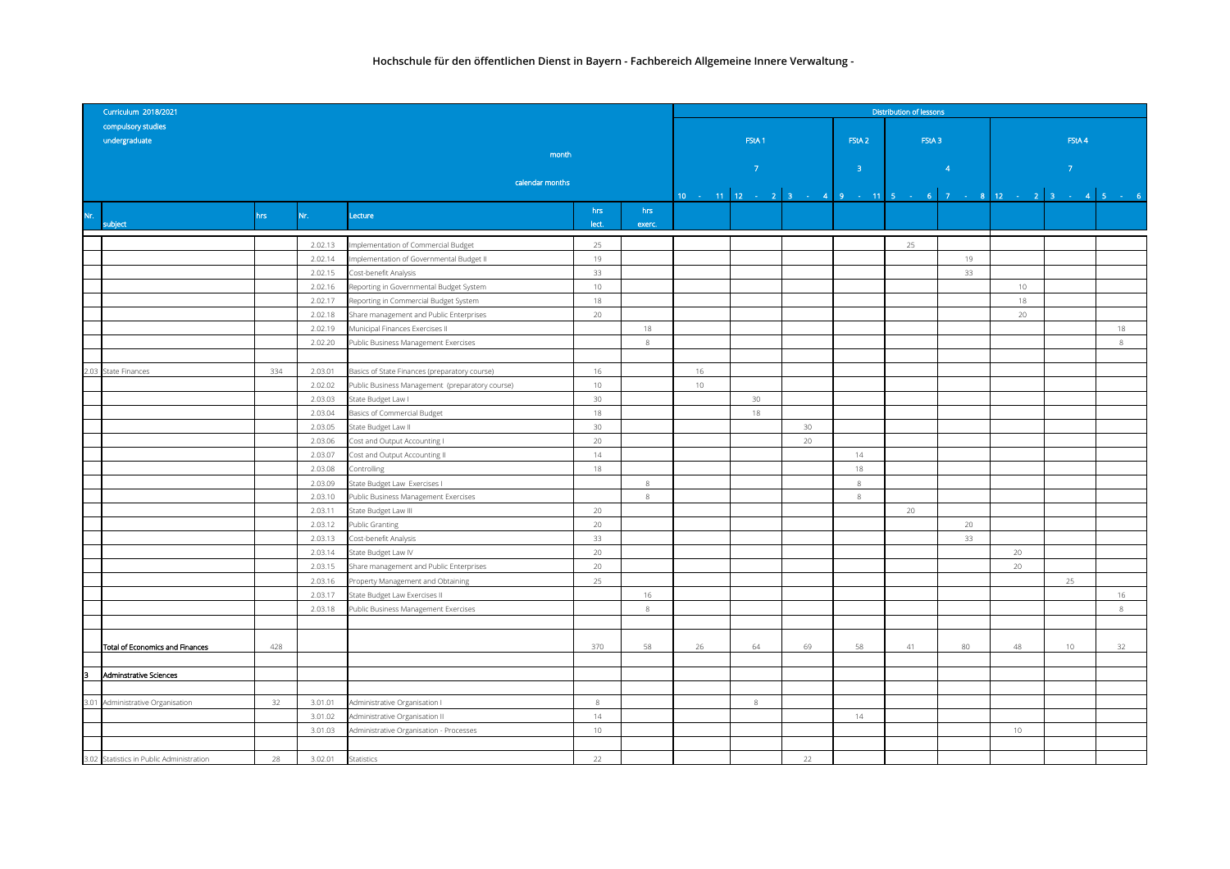| Curriculum 2018/2021                     |                 |         |                                                 |                 |               |                                                                            | <b>Distribution of lessons</b> |    |                   |       |          |                |        |             |  |  |
|------------------------------------------|-----------------|---------|-------------------------------------------------|-----------------|---------------|----------------------------------------------------------------------------|--------------------------------|----|-------------------|-------|----------|----------------|--------|-------------|--|--|
| compulsory studies                       |                 |         |                                                 |                 |               |                                                                            |                                |    |                   |       |          |                |        |             |  |  |
| undergraduate                            |                 |         |                                                 |                 |               |                                                                            | FStA <sub>1</sub>              |    | FStA <sub>2</sub> | FStA3 |          | FStA 4         |        |             |  |  |
|                                          |                 |         | month                                           |                 |               |                                                                            |                                |    |                   |       |          |                |        |             |  |  |
|                                          |                 |         |                                                 |                 |               | $\langle 7 \rangle$                                                        |                                |    | $-3-$             |       | $\sim$ 4 | 7 <sup>°</sup> |        |             |  |  |
|                                          | calendar months |         |                                                 |                 |               |                                                                            |                                |    |                   |       |          |                |        |             |  |  |
|                                          |                 |         |                                                 |                 |               | 10 - 11   12 - 2   3 - 4   9 - 11   5 - 6   7 - 8   12 - 2   3 - 4   5 - 6 |                                |    |                   |       |          |                |        |             |  |  |
| Nr.<br>subject                           | hrs             | Nr.     | Lecture                                         | hrs<br>lect.    | hrs<br>exerc. |                                                                            |                                |    |                   |       |          |                |        |             |  |  |
|                                          |                 |         |                                                 |                 |               |                                                                            |                                |    |                   |       |          |                |        |             |  |  |
|                                          |                 | 2.02.13 | Implementation of Commercial Budget             | 25              |               |                                                                            |                                |    |                   | 25    |          |                |        |             |  |  |
|                                          |                 | 2.02.14 | Implementation of Governmental Budget II        | 19              |               |                                                                            |                                |    |                   |       | 19       |                |        |             |  |  |
|                                          |                 | 2.02.15 | Cost-benefit Analysis                           | 33              |               |                                                                            |                                |    |                   |       | 33       |                |        |             |  |  |
|                                          |                 | 2.02.16 | Reporting in Governmental Budget System         | $10 -$          |               |                                                                            |                                |    |                   |       |          | 10             |        |             |  |  |
|                                          |                 | 2.02.17 | Reporting in Commercial Budget System           | 18              |               |                                                                            |                                |    |                   |       |          | 18             |        |             |  |  |
|                                          |                 | 2.02.18 | Share management and Public Enterprises         | 20              |               |                                                                            |                                |    |                   |       |          | 20             |        |             |  |  |
|                                          |                 | 2.02.19 | Municipal Finances Exercises II                 |                 | $18\,$        |                                                                            |                                |    |                   |       |          |                |        | 18          |  |  |
|                                          |                 | 2.02.20 | Public Business Management Exercises            |                 | $\,$ 8 $\,$   |                                                                            |                                |    |                   |       |          |                |        | $\,$ 8 $\,$ |  |  |
|                                          |                 |         |                                                 |                 |               |                                                                            |                                |    |                   |       |          |                |        |             |  |  |
| 2.03 State Finances                      | 334             | 2.03.01 | Basics of State Finances (preparatory course)   | 16              |               | 16                                                                         |                                |    |                   |       |          |                |        |             |  |  |
|                                          |                 | 2.02.02 | Public Business Management (preparatory course) | 10              |               | 10                                                                         |                                |    |                   |       |          |                |        |             |  |  |
|                                          |                 | 2.03.03 | State Budget Law I                              | 30 <sub>o</sub> |               |                                                                            | 30 <sup>°</sup>                |    |                   |       |          |                |        |             |  |  |
|                                          |                 | 2.03.04 | Basics of Commercial Budget                     | $18\,$          |               |                                                                            | 18                             |    |                   |       |          |                |        |             |  |  |
|                                          |                 | 2.03.05 | State Budget Law II                             | 30 <sup>°</sup> |               |                                                                            |                                | 30 |                   |       |          |                |        |             |  |  |
|                                          |                 | 2.03.06 | Cost and Output Accounting I                    | 20              |               |                                                                            |                                | 20 |                   |       |          |                |        |             |  |  |
|                                          |                 | 2.03.07 | Cost and Output Accounting II                   | 14              |               |                                                                            |                                |    | 14                |       |          |                |        |             |  |  |
|                                          |                 | 2.03.08 | Controlling                                     | 18              |               |                                                                            |                                |    | 18                |       |          |                |        |             |  |  |
|                                          |                 | 2.03.09 | State Budget Law Exercises I                    |                 | 8             |                                                                            |                                |    | 8                 |       |          |                |        |             |  |  |
|                                          |                 | 2.03.10 | Public Business Management Exercises            |                 | 8             |                                                                            |                                |    | 8                 |       |          |                |        |             |  |  |
|                                          |                 | 2.03.11 | State Budget Law III                            | 20              |               |                                                                            |                                |    |                   | 20    |          |                |        |             |  |  |
|                                          |                 | 2.03.12 | Public Granting                                 | 20              |               |                                                                            |                                |    |                   |       | 20       |                |        |             |  |  |
|                                          |                 | 2.03.13 | Cost-benefit Analysis                           | 33              |               |                                                                            |                                |    |                   |       | 33       |                |        |             |  |  |
|                                          |                 | 2.03.14 | State Budget Law IV                             | 20              |               |                                                                            |                                |    |                   |       |          | 20             |        |             |  |  |
|                                          |                 | 2.03.15 | Share management and Public Enterprises         | 20              |               |                                                                            |                                |    |                   |       |          | 20             |        |             |  |  |
|                                          |                 | 2.03.16 | Property Management and Obtaining               | 25              |               |                                                                            |                                |    |                   |       |          |                | 25     |             |  |  |
|                                          |                 | 2.03.17 | State Budget Law Exercises II                   |                 | 16            |                                                                            |                                |    |                   |       |          |                |        | 16          |  |  |
|                                          |                 | 2.03.18 | Public Business Management Exercises            |                 | 8             |                                                                            |                                |    |                   |       |          |                |        | $\,$ 8 $\,$ |  |  |
|                                          |                 |         |                                                 |                 |               |                                                                            |                                |    |                   |       |          |                |        |             |  |  |
|                                          |                 |         |                                                 |                 |               |                                                                            |                                |    |                   |       |          |                |        |             |  |  |
| Total of Economics and Finances          | 428             |         |                                                 | 370             | 58            | 26                                                                         | 64                             | 69 | 58                | 41    | 80       | 48             | $10 -$ | 32          |  |  |
|                                          |                 |         |                                                 |                 |               |                                                                            |                                |    |                   |       |          |                |        |             |  |  |
| Iз<br>Adminstrative Sciences             |                 |         |                                                 |                 |               |                                                                            |                                |    |                   |       |          |                |        |             |  |  |
|                                          |                 |         |                                                 |                 |               |                                                                            |                                |    |                   |       |          |                |        |             |  |  |
| 3.01 Administrative Organisation         | 32              | 3.01.01 | Administrative Organisation I                   | $\,8\,$         |               |                                                                            | 8                              |    |                   |       |          |                |        |             |  |  |
|                                          |                 | 3.01.02 | Administrative Organisation II                  | 14              |               |                                                                            |                                |    | 14                |       |          |                |        |             |  |  |
|                                          |                 | 3.01.03 | Administrative Organisation - Processes         | $10 -$          |               |                                                                            |                                |    |                   |       |          | 10             |        |             |  |  |
|                                          |                 |         |                                                 |                 |               |                                                                            |                                |    |                   |       |          |                |        |             |  |  |
| 3.02 Statistics in Public Administration | 28              | 3.02.01 | Statistics                                      | 22              |               |                                                                            |                                | 22 |                   |       |          |                |        |             |  |  |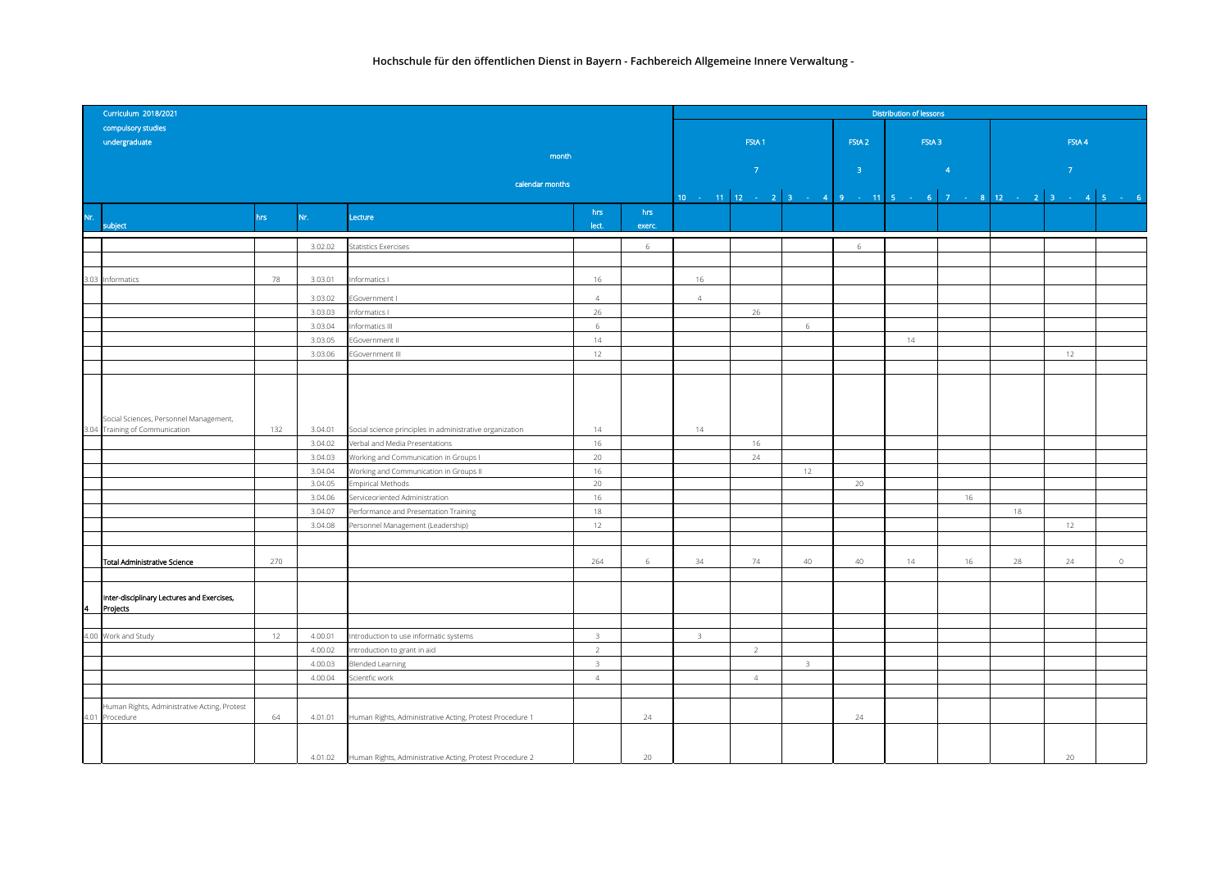| Curriculum 2018/2021 |                                                        |     |         |                                                          |                         |        |                | <b>Distribution of lessons</b> |                         |                   |                                                            |               |             |  |  |  |  |
|----------------------|--------------------------------------------------------|-----|---------|----------------------------------------------------------|-------------------------|--------|----------------|--------------------------------|-------------------------|-------------------|------------------------------------------------------------|---------------|-------------|--|--|--|--|
|                      | compulsory studies                                     |     |         |                                                          |                         |        |                |                                |                         |                   |                                                            |               |             |  |  |  |  |
|                      | undergraduate                                          |     |         |                                                          |                         |        |                | FStA <sub>1</sub>              |                         | FStA <sub>2</sub> | FStA <sub>3</sub>                                          |               | FStA4       |  |  |  |  |
|                      |                                                        |     |         | month                                                    |                         |        |                |                                |                         |                   |                                                            |               |             |  |  |  |  |
|                      |                                                        |     |         |                                                          |                         |        |                | $\sim$ 7 $^\circ$              |                         | 3 <sup>°</sup>    | $\overline{4}$                                             | $\mathcal{T}$ |             |  |  |  |  |
|                      |                                                        |     |         | calendar months                                          |                         |        |                |                                |                         |                   |                                                            |               |             |  |  |  |  |
|                      |                                                        |     |         |                                                          |                         |        |                |                                |                         |                   | 10 - 11 12 - 2 3 - 4 9 - 11 5 - 6 7 - 8 12 - 2 3 - 4 5 - 6 |               |             |  |  |  |  |
| Nr.                  |                                                        | hrs | Nr.     | Lecture                                                  | hrs                     | hrs    |                |                                |                         |                   |                                                            |               |             |  |  |  |  |
|                      | subject                                                |     |         |                                                          | lect.                   | exerc. |                |                                |                         |                   |                                                            |               |             |  |  |  |  |
|                      |                                                        |     | 3.02.02 | Statistics Exercises                                     |                         | 6      |                |                                |                         | 6                 |                                                            |               |             |  |  |  |  |
|                      |                                                        |     |         |                                                          |                         |        |                |                                |                         |                   |                                                            |               |             |  |  |  |  |
|                      | 3.03 Informatics                                       | 78  | 3.03.01 | nformatics I                                             | 16                      |        | 16             |                                |                         |                   |                                                            |               |             |  |  |  |  |
|                      |                                                        |     |         |                                                          |                         |        |                |                                |                         |                   |                                                            |               |             |  |  |  |  |
|                      |                                                        |     | 3.03.02 | Government I                                             | $\overline{4}$          |        | $\overline{4}$ |                                |                         |                   |                                                            |               |             |  |  |  |  |
|                      |                                                        |     | 3.03.03 | nformatics I                                             | 26                      |        |                | 26                             |                         |                   |                                                            |               |             |  |  |  |  |
|                      |                                                        |     | 3.03.04 | nformatics III                                           | 6<br>14                 |        |                |                                | 6                       |                   |                                                            |               |             |  |  |  |  |
|                      |                                                        |     | 3.03.05 | Government II                                            |                         |        |                |                                |                         |                   | 14                                                         |               |             |  |  |  |  |
|                      |                                                        |     | 3.03.06 | EGovernment III                                          | 12                      |        |                |                                |                         |                   |                                                            | 12            |             |  |  |  |  |
|                      |                                                        |     |         |                                                          |                         |        |                |                                |                         |                   |                                                            |               |             |  |  |  |  |
|                      |                                                        |     |         |                                                          |                         |        |                |                                |                         |                   |                                                            |               |             |  |  |  |  |
|                      |                                                        |     |         |                                                          |                         |        |                |                                |                         |                   |                                                            |               |             |  |  |  |  |
|                      | Social Sciences, Personnel Management,                 |     |         |                                                          |                         |        |                |                                |                         |                   |                                                            |               |             |  |  |  |  |
|                      | 3.04 Training of Communication                         | 132 | 3.04.01 | Social science principles in administrative organization | 14                      |        | 14             |                                |                         |                   |                                                            |               |             |  |  |  |  |
|                      |                                                        |     | 3.04.02 | Verbal and Media Presentations                           | 16                      |        |                | 16                             |                         |                   |                                                            |               |             |  |  |  |  |
|                      |                                                        |     | 3.04.03 | Working and Communication in Groups I                    | 20                      |        |                | 24                             |                         |                   |                                                            |               |             |  |  |  |  |
|                      |                                                        |     | 3.04.04 | Working and Communication in Groups II                   | 16                      |        |                |                                | 12                      |                   |                                                            |               |             |  |  |  |  |
|                      |                                                        |     | 3.04.05 | <b>Empirical Methods</b>                                 | 20                      |        |                |                                |                         | 20                |                                                            |               |             |  |  |  |  |
|                      |                                                        |     | 3.04.06 | Serviceoriented Administration                           | 16                      |        |                |                                |                         |                   | 16                                                         |               |             |  |  |  |  |
|                      |                                                        |     | 3.04.07 | Performance and Presentation Training                    | 18                      |        |                |                                |                         |                   |                                                            | 18            |             |  |  |  |  |
|                      |                                                        |     | 3.04.08 | Personnel Management (Leadership)                        | 12                      |        |                |                                |                         |                   |                                                            | 12            |             |  |  |  |  |
|                      |                                                        |     |         |                                                          |                         |        |                |                                |                         |                   |                                                            |               |             |  |  |  |  |
|                      | Total Administrative Science                           | 270 |         |                                                          | 264                     | 6      | 34             | 74                             | 40                      | 40                | 14<br>16                                                   | 28<br>24      | $\mathbb O$ |  |  |  |  |
|                      |                                                        |     |         |                                                          |                         |        |                |                                |                         |                   |                                                            |               |             |  |  |  |  |
|                      |                                                        |     |         |                                                          |                         |        |                |                                |                         |                   |                                                            |               |             |  |  |  |  |
| 4                    | Inter-disciplinary Lectures and Exercises,<br>Projects |     |         |                                                          |                         |        |                |                                |                         |                   |                                                            |               |             |  |  |  |  |
|                      |                                                        |     |         |                                                          |                         |        |                |                                |                         |                   |                                                            |               |             |  |  |  |  |
|                      | 4.00 Work and Study                                    | 12  | 4.00.01 | ntroduction to use informatic systems                    | $\overline{\mathbf{3}}$ |        | 3              |                                |                         |                   |                                                            |               |             |  |  |  |  |
|                      |                                                        |     | 4.00.02 | ntroduction to grant in aid                              | $\overline{2}$          |        |                | 2                              |                         |                   |                                                            |               |             |  |  |  |  |
|                      |                                                        |     | 4.00.03 | <b>Blended Learning</b>                                  | $\overline{3}$          |        |                |                                | $\overline{\mathbf{3}}$ |                   |                                                            |               |             |  |  |  |  |
|                      |                                                        |     | 4.00.04 | Scientfic work                                           | $\overline{4}$          |        |                | $\overline{4}$                 |                         |                   |                                                            |               |             |  |  |  |  |
|                      |                                                        |     |         |                                                          |                         |        |                |                                |                         |                   |                                                            |               |             |  |  |  |  |
|                      | luman Rights, Administrative Acting, Protest           |     |         |                                                          |                         |        |                |                                |                         |                   |                                                            |               |             |  |  |  |  |
|                      | 4.01 Procedure                                         | 64  | 4.01.01 | Human Rights, Administrative Acting, Protest Procedure 1 |                         | 24     |                |                                |                         | 24                |                                                            |               |             |  |  |  |  |
|                      |                                                        |     |         |                                                          |                         |        |                |                                |                         |                   |                                                            |               |             |  |  |  |  |
|                      |                                                        |     |         |                                                          |                         |        |                |                                |                         |                   |                                                            |               |             |  |  |  |  |
|                      |                                                        |     | 4.01.02 | Human Rights, Administrative Acting, Protest Procedure 2 |                         | 20     |                |                                |                         |                   |                                                            | 20            |             |  |  |  |  |